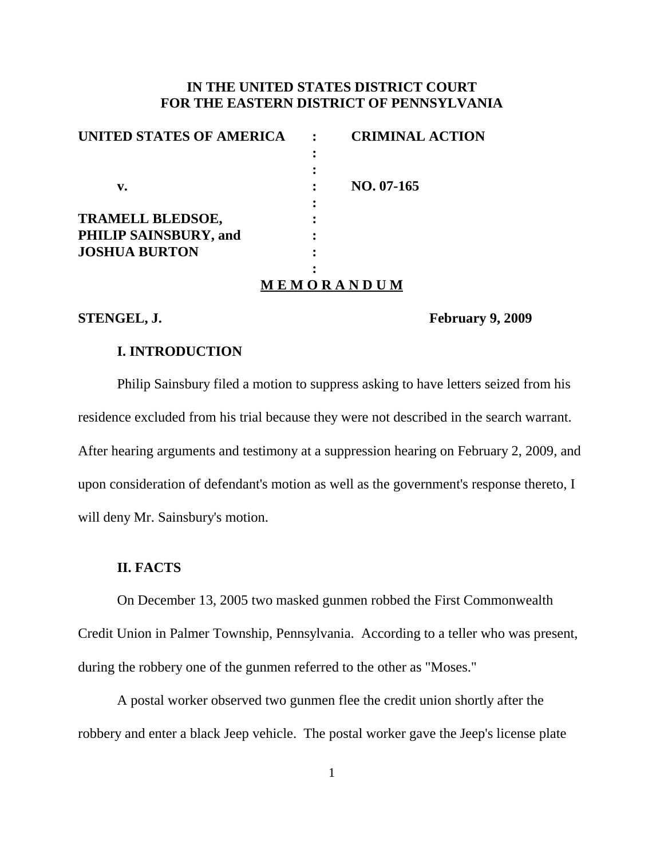# **IN THE UNITED STATES DISTRICT COURT FOR THE EASTERN DISTRICT OF PENNSYLVANIA**

| UNITED STATES OF AMERICA |            | <b>CRIMINAL ACTION</b> |
|--------------------------|------------|------------------------|
|                          |            |                        |
|                          |            |                        |
| v.                       |            | $NO. 07-165$           |
|                          |            |                        |
| TRAMELL BLEDSOE,         |            |                        |
| PHILIP SAINSBURY, and    |            |                        |
| <b>JOSHUA BURTON</b>     |            |                        |
|                          |            |                        |
|                          | MEMORANDUM |                        |

**STENGEL, J. February 9, 2009**

## **I. INTRODUCTION**

Philip Sainsbury filed a motion to suppress asking to have letters seized from his residence excluded from his trial because they were not described in the search warrant. After hearing arguments and testimony at a suppression hearing on February 2, 2009, and upon consideration of defendant's motion as well as the government's response thereto, I will deny Mr. Sainsbury's motion.

#### **II. FACTS**

On December 13, 2005 two masked gunmen robbed the First Commonwealth Credit Union in Palmer Township, Pennsylvania. According to a teller who was present, during the robbery one of the gunmen referred to the other as "Moses."

A postal worker observed two gunmen flee the credit union shortly after the robbery and enter a black Jeep vehicle. The postal worker gave the Jeep's license plate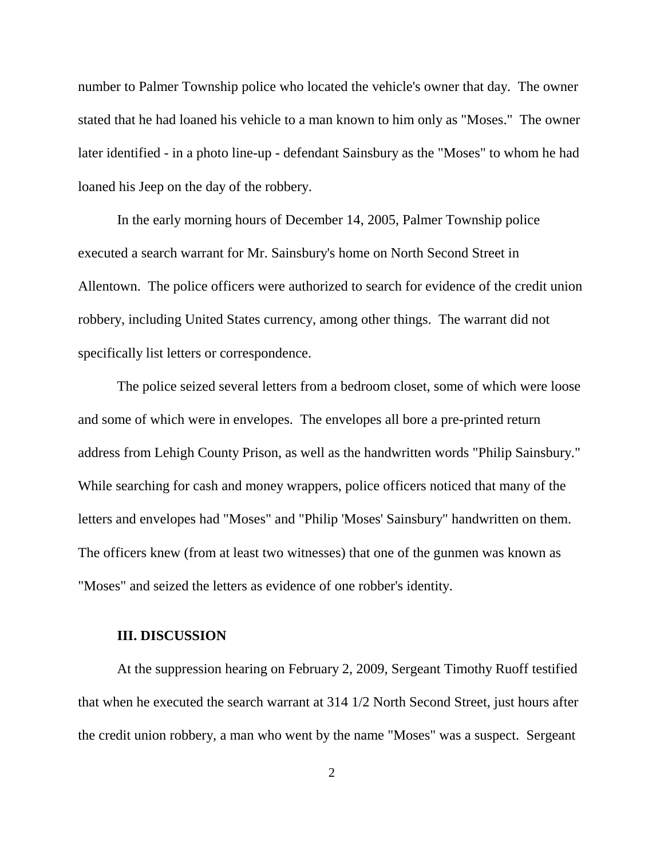number to Palmer Township police who located the vehicle's owner that day. The owner stated that he had loaned his vehicle to a man known to him only as "Moses." The owner later identified - in a photo line-up - defendant Sainsbury as the "Moses" to whom he had loaned his Jeep on the day of the robbery.

In the early morning hours of December 14, 2005, Palmer Township police executed a search warrant for Mr. Sainsbury's home on North Second Street in Allentown. The police officers were authorized to search for evidence of the credit union robbery, including United States currency, among other things. The warrant did not specifically list letters or correspondence.

The police seized several letters from a bedroom closet, some of which were loose and some of which were in envelopes. The envelopes all bore a pre-printed return address from Lehigh County Prison, as well as the handwritten words "Philip Sainsbury." While searching for cash and money wrappers, police officers noticed that many of the letters and envelopes had "Moses" and "Philip 'Moses' Sainsbury" handwritten on them. The officers knew (from at least two witnesses) that one of the gunmen was known as "Moses" and seized the letters as evidence of one robber's identity.

#### **III. DISCUSSION**

At the suppression hearing on February 2, 2009, Sergeant Timothy Ruoff testified that when he executed the search warrant at 314 1/2 North Second Street, just hours after the credit union robbery, a man who went by the name "Moses" was a suspect. Sergeant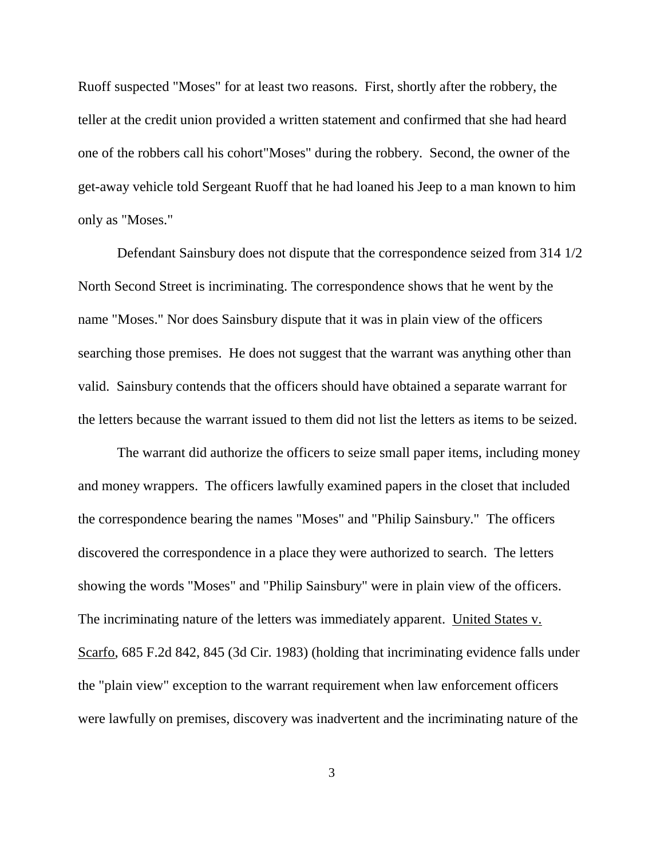Ruoff suspected "Moses" for at least two reasons. First, shortly after the robbery, the teller at the credit union provided a written statement and confirmed that she had heard one of the robbers call his cohort"Moses" during the robbery. Second, the owner of the get-away vehicle told Sergeant Ruoff that he had loaned his Jeep to a man known to him only as "Moses."

Defendant Sainsbury does not dispute that the correspondence seized from 314 1/2 North Second Street is incriminating. The correspondence shows that he went by the name "Moses." Nor does Sainsbury dispute that it was in plain view of the officers searching those premises. He does not suggest that the warrant was anything other than valid. Sainsbury contends that the officers should have obtained a separate warrant for the letters because the warrant issued to them did not list the letters as items to be seized.

The warrant did authorize the officers to seize small paper items, including money and money wrappers. The officers lawfully examined papers in the closet that included the correspondence bearing the names "Moses" and "Philip Sainsbury." The officers discovered the correspondence in a place they were authorized to search. The letters showing the words "Moses" and "Philip Sainsbury" were in plain view of the officers. The incriminating nature of the letters was immediately apparent. United States v. Scarfo, 685 F.2d 842, 845 (3d Cir. 1983) (holding that incriminating evidence falls under the "plain view" exception to the warrant requirement when law enforcement officers were lawfully on premises, discovery was inadvertent and the incriminating nature of the

3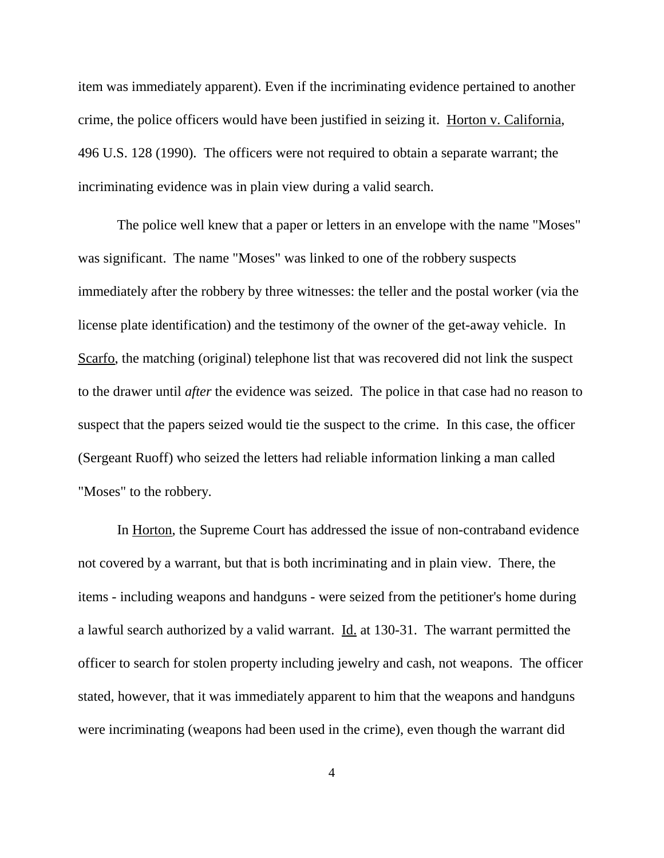item was immediately apparent). Even if the incriminating evidence pertained to another crime, the police officers would have been justified in seizing it. Horton v. California, 496 U.S. 128 (1990). The officers were not required to obtain a separate warrant; the incriminating evidence was in plain view during a valid search.

The police well knew that a paper or letters in an envelope with the name "Moses" was significant. The name "Moses" was linked to one of the robbery suspects immediately after the robbery by three witnesses: the teller and the postal worker (via the license plate identification) and the testimony of the owner of the get-away vehicle. In Scarfo, the matching (original) telephone list that was recovered did not link the suspect to the drawer until *after* the evidence was seized. The police in that case had no reason to suspect that the papers seized would tie the suspect to the crime. In this case, the officer (Sergeant Ruoff) who seized the letters had reliable information linking a man called "Moses" to the robbery.

In Horton, the Supreme Court has addressed the issue of non-contraband evidence not covered by a warrant, but that is both incriminating and in plain view. There, the items - including weapons and handguns - were seized from the petitioner's home during a lawful search authorized by a valid warrant. Id. at 130-31. The warrant permitted the officer to search for stolen property including jewelry and cash, not weapons. The officer stated, however, that it was immediately apparent to him that the weapons and handguns were incriminating (weapons had been used in the crime), even though the warrant did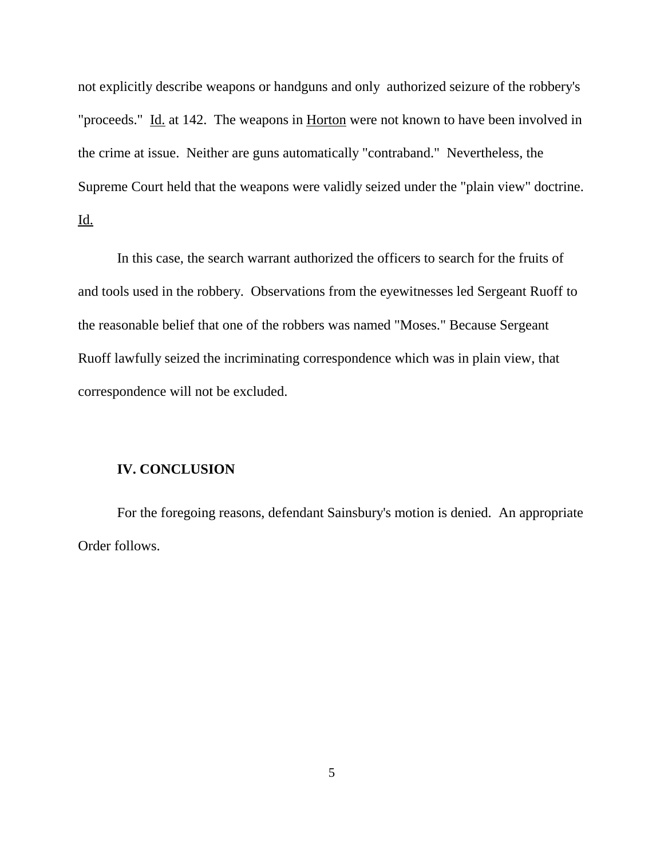not explicitly describe weapons or handguns and only authorized seizure of the robbery's "proceeds." Id. at 142. The weapons in Horton were not known to have been involved in the crime at issue. Neither are guns automatically "contraband." Nevertheless, the Supreme Court held that the weapons were validly seized under the "plain view" doctrine. Id.

In this case, the search warrant authorized the officers to search for the fruits of and tools used in the robbery. Observations from the eyewitnesses led Sergeant Ruoff to the reasonable belief that one of the robbers was named "Moses." Because Sergeant Ruoff lawfully seized the incriminating correspondence which was in plain view, that correspondence will not be excluded.

### **IV. CONCLUSION**

For the foregoing reasons, defendant Sainsbury's motion is denied. An appropriate Order follows.